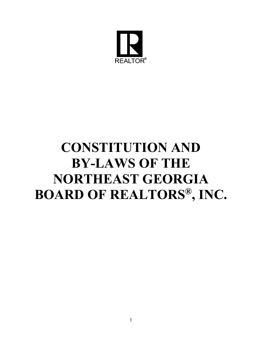

# **CONSTITUTION AND BY-LAWS OF THE NORTHEAST GEORGIA BOARD OF REALTORS®, INC.**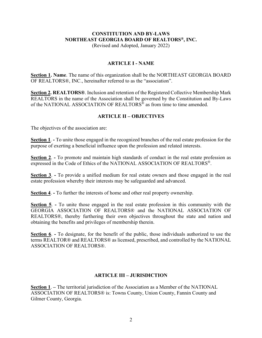## **CONSTITUTION AND BY-LAWS NORTHEAST GEORGIA BOARD OF REALTORS®, INC.**

(Revised and Adopted, January 2022)

#### **ARTICLE I - NAME**

**Section 1. Name**. The name of this organization shall be the NORTHEAST GEORGIA BOARD OF REALTORS®, INC., hereinafter referred to as the "association".

**Section 2. REALTORS®**. Inclusion and retention of the Registered Collective Membership Mark REALTORS in the name of the Association shall be governed by the Constitution and By-Laws of the NATIONAL ASSOCIATION OF REALTORS<sup>®</sup> as from time to time amended.

#### **ARTICLE II – OBJECTIVES**

The objectives of the association are:

**Section 1**. **-** To unite those engaged in the recognized branches of the real estate profession for the purpose of exerting a beneficial influence upon the profession and related interests.

**Section 2**. **-** To promote and maintain high standards of conduct in the real estate profession as expressed in the Code of Ethics of the NATIONAL ASSOCIATION OF REALTORS®.

**Section 3**. **-** To provide a unified medium for real estate owners and those engaged in the real estate profession whereby their interests may be safeguarded and advanced.

**Section 4**. **-** To further the interests of home and other real property ownership.

**Section 5**. **-** To unite those engaged in the real estate profession in this community with the GEORGIA ASSOCIATION OF REALTORS® and the NATIONAL ASSOCIATION OF REALTORS®, thereby furthering their own objectives throughout the state and nation and obtaining the benefits and privileges of membership therein.

**Section 6**. **-** To designate, for the benefit of the public, those individuals authorized to use the terms REALTOR® and REALTORS® as licensed, prescribed, and controlled by the NATIONAL ASSOCIATION OF REALTORS®.

## **ARTICLE III – JURISDICTION**

**Section 1**. **–** The territorial jurisdiction of the Association as a Member of the NATIONAL ASSOCIATION OF REALTORS® is: Towns County, Union County, Fannin County and Gilmer County, Georgia.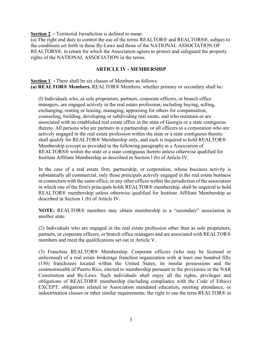**Section 2**. **-** Territorial Jurisdiction is defined to mean:

(a) The right and duty to control the use of the terms REALTOR® and REALTORS®, subject to the conditions set forth in these By-Laws and those of the NATIONAL ASSOCIATION OF REALTORS®, in return for which the Association agrees to protect and safeguard the property rights of the NATIONAL ASSOCIATION in the terms.

#### **ARTICLE IV - MEMBERSHIP**

**Section 1**. **-** There shall be six classes of Members as follows: **(a) REALTOR® Members.** REALTOR® Members, whether primary or secondary shall be:

(l) Individuals who, as sole proprietors, partners, corporate officers, or branch office managers, are engaged actively in the real estate profession, including buying, selling, exchanging, renting or leasing, managing, appraising for others for compensation, counseling, building, developing or subdividing real estate, and who maintain or are associated with an established real estate office in the state of Georgia or a state contiguous thereto. All persons who are partners in a partnership, or all officers in a corporation who are actively engaged in the real estate profession within the state or a state contiguous thereto shall qualify for REALTOR® Membership only, and each is required to hold REALTOR® Membership (except as provided in the following paragraph) in a Association of REALTORS® within the state or a state contiguous thereto unless otherwise qualified for Institute Affiliate Membership as described in Section l (b) of Article IV.

In the case of a real estate firm, partnership, or corporation, whose business activity is substantially all commercial, only those principals actively engaged in the real estate business in connection with the same office, or any other offices within the jurisdiction of the association in which one of the firm's principals holds REALTOR® membership, shall be required to hold REALTOR® membership unless otherwise qualified for Institute Affiliate Membership as described in Section 1 (b) of Article IV.

**NOTE:** REALTOR® members may obtain membership in a "secondary" association in another state.

(2) Individuals who are engaged in the real estate profession other than as sole proprietors, partners, or corporate officers, or branch office managers and are associated with REALTOR® members and meet the qualifications set out in Article V.

(3) Franchise REALTOR® Membership. Corporate officers (who may be licensed or unlicensed) of a real estate brokerage franchise organization with at least one hundred fifty (150) franchisees located within the United States, its insular possessions and the commonwealth of Puerto Rico, elected to membership pursuant to the provisions in the NAR Constitution and By-Laws. Such individuals shall enjoy all the rights, privileges and obligations of REALTOR® membership (including compliance with the Code of Ethics) EXCEPT: obligations related to Association mandated education, meeting attendance, or indoctrination classes or other similar requirements; the right to use the term REALTOR® in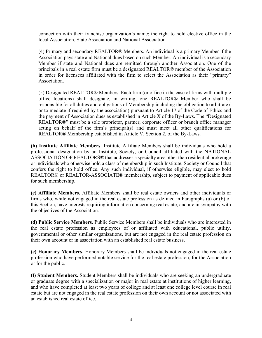connection with their franchise organization's name; the right to hold elective office in the local Association, State Association and National Association.

(4) Primary and secondary REALTOR® Members. An individual is a primary Member if the Association pays state and National dues based on such Member. An individual is a secondary Member if state and National dues are remitted through another Association. One of the principals in a real estate firm must be a designated REALTOR® member of the Association in order for licensees affiliated with the firm to select the Association as their "primary" Association.

(5) Designated REALTOR® Members. Each firm (or office in the case of firms with multiple office locations) shall designate, in writing, one REALTOR® Member who shall be responsible for all duties and obligations of Membership including the obligation to arbitrate ( or to mediate if required by the association) pursuant to Article 17 of the Code of Ethics and the payment of Association dues as established in Article X of the By-Laws. The "Designated REALTOR®" must be a sole proprietor, partner, corporate officer or branch office manager acting on behalf of the firm's principal(s) and must meet all other qualifications for REALTOR® Membership established in Article V, Section 2, of the By-Laws.

**(b) Institute Affiliate Members.** Institute Affiliate Members shall be individuals who hold a professional designation by an Institute, Society, or Council affiliated with the NATIONAL ASSOCIATION OF REALTORS® that addresses a specialty area other than residential brokerage or individuals who otherwise hold a class of membership in such Institute, Society or Council that confers the right to hold office. Any such individual, if otherwise eligible, may elect to hold REALTOR® or REALTOR-ASSOCIATE® membership, subject to payment of applicable dues for such membership.

**(c) Affiliate Members.** Affiliate Members shall be real estate owners and other individuals or firms who, while not engaged in the real estate profession as defined in Paragraphs (a) or (b) of this Section, have interests requiring information concerning real estate, and are in sympathy with the objectives of the Association.

**(d) Public Service Members.** Public Service Members shall be individuals who are interested in the real estate profession as employees of or affiliated with educational, public utility, governmental or other similar organizations, but are not engaged in the real estate profession on their own account or in association with an established real estate business.

**(e) Honorary Members.** Honorary Members shall be individuals not engaged in the real estate profession who have performed notable service for the real estate profession, for the Association or for the public.

**(f) Student Members.** Student Members shall be individuals who are seeking an undergraduate or graduate degree with a specialization or major in real estate at institutions of higher learning, and who have completed at least two years of college and at least one college level course in real estate but are not engaged in the real estate profession on their own account or not associated with an established real estate office.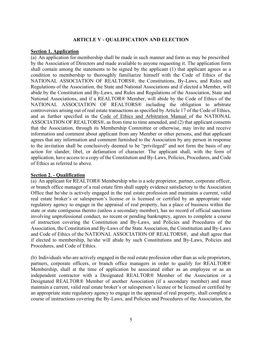#### **ARTICLE V - QUALIFICATION AND ELECTION**

#### **Section 1. Application**

(a) An application for membership shall be made in such manner and form as may be prescribed by the Association of Directors and made available to anyone requesting it. The application form shall contain among the statements to be signed by the applicant (1) that applicant agrees as a condition to membership to thoroughly familiarize himself with the Code of Ethics of the NATIONAL ASSOCIATION OF REALTORS®, the Constitutions, By-Laws, and Rules and Regulations of the Association, the State and National Associations and if elected a Member, will abide by the Constitution and By-Laws, and Rules and Regulations of the Association, State and National Associations, and if a REALTOR® Member, will abide by the Code of Ethics of the NATIONAL ASSOCIATION OF REALTORS® including the obligation to arbitrate controversies arising out of real estate transactions as specified by Article 17 of the Code of Ethics, and as further specified in the Code of Ethics and Arbitration Manual of the NATIONAL ASSOCIATION OF REALTORS®, as from time to time amended, and (2) that applicant consents that the Association, through its Membership Committee or otherwise, may invite and receive information and comment about applicant from any Member or other persons, and that applicant agrees that any information and comment furnished to the Association by any person in response to the invitation shall be conclusively deemed to be "privileged" and not form the basis of any action for slander, libel, or defamation of character. The applicant shall, with the form of application, have access to a copy of the Constitution and By-Laws, Policies, Procedures, and Code of Ethics as referred to above.

#### **Section 2. - Qualification**

(a) An applicant for REALTOR® Membership who is a sole proprietor, partner, corporate officer, or branch office manager of a real estate firm shall supply evidence satisfactory to the Association Office that he/she is actively engaged in the real estate profession and maintains a current, valid real estate broker's or salesperson's license or is licensed or certified by an appropriate state regulatory agency to engage in the appraisal of real property, has a place of business within the state or state contiguous thereto (unless a secondary member), has no record of official sanctions involving unprofessional conduct, no recent or pending bankruptcy, agrees to complete a course of instruction covering the Constitution and By-Laws, and Policies and Procedures of the Association, the Constitution and By-Laws of the State Association, the Constitution and By-Laws and Code of Ethics of the NATIONAL ASSOCIATION OF REALTORS®, and shall agree that if elected to membership, he/she will abide by such Constitutions and By-Laws, Policies and Procedures, and Code of Ethics.

(b) Individuals who are actively engaged in the real estate profession other than as sole proprietors, partners, corporate officers, or branch office managers in order to qualify for REALTOR® Membership, shall at the time of application be associated either as an employee or as an independent contractor with a Designated REALTOR® Member of the Association or a Designated REALTOR® Member of another Association (if a secondary member) and must maintain a current, valid real estate broker's or salesperson's license or be licensed or certified by an appropriate state regulatory agency to engage in the appraisal of real property, shall complete a course of instructions covering the By-Laws, and Policies and Procedures of the Association, the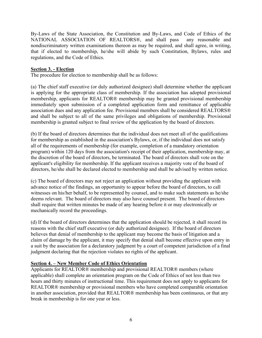By-Laws of the State Association, the Constitution and By-Laws, and Code of Ethics of the NATIONAL ASSOCIATION OF REALTORS®, and shall pass any reasonable and nondiscriminatory written examinations thereon as may be required, and shall agree, in writing, that if elected to membership, he/she will abide by such Constitution, Bylaws, rules and regulations, and the Code of Ethics.

## **Section 3. - Election**

The procedure for election to membership shall be as follows:

(a) The chief staff executive (or duly authorized designee) shall determine whether the applicant is applying for the appropriate class of membership. If the association has adopted provisional membership, applicants for REALTOR® membership may be granted provisional membership immediately upon submission of a completed application form and remittance of applicable association dues and any application fee. Provisional members shall be considered REALTORS® and shall be subject to all of the same privileges and obligations of membership. Provisional membership is granted subject to final review of the application by the board of directors.

(b) If the board of directors determines that the individual does not meet all of the qualifications for membership as established in the association's Bylaws, or, if the individual does not satisfy all of the requirements of membership (for example, completion of a mandatory orientation program) within 120 days from the association's receipt of their application, membership may, at the discretion of the board of directors, be terminated. The board of directors shall vote on the applicant's eligibility for membership. If the applicant receives a majority vote of the board of directors, he/she shall be declared elected to membership and shall be advised by written notice.

(c) The board of directors may not reject an application without providing the applicant with advance notice of the findings, an opportunity to appear before the board of directors, to call witnesses on his/her behalf, to be represented by counsel, and to make such statements as he/she deems relevant. The board of directors may also have counsel present. The board of directors shall require that written minutes be made of any hearing before it or may electronically or mechanically record the proceedings.

(d) If the board of directors determines that the application should be rejected, it shall record its reasons with the chief staff executive (or duly authorized designee). If the board of directors believes that denial of membership to the applicant may become the basis of litigation and a claim of damage by the applicant, it may specify that denial shall become effective upon entry in a suit by the association for a declaratory judgment by a court of competent jurisdiction of a final judgment declaring that the rejection violates no rights of the applicant.

#### **Section 4. – New Member Code of Ethics Orientation**

Applicants for REALTOR® membership and provisional REALTOR® members (where applicable) shall complete an orientation program on the Code of Ethics of not less than two hours and thirty minutes of instructional time. This requirement does not apply to applicants for REALTOR® membership or provisional members who have completed comparable orientation in another association, provided that REALTOR® membership has been continuous, or that any break in membership is for one year or less.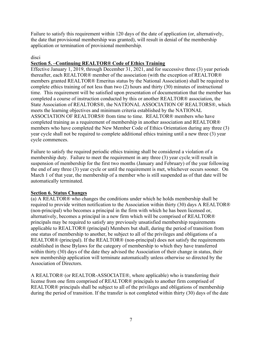Failure to satisfy this requirement within 120 days of the date of application (or, alternatively, the date that provisional membership was granted), will result in denial of the membership application or termination of provisional membership.

## disci

## **Section 5. –Continuing REALTOR® Code of Ethics Training**

Effective January 1, 2019, through December 31, 2021, and for successive three (3) year periods thereafter, each REALTOR® member of the association (with the exception of REALTOR® members granted REALTOR® Emeritus status by the National Association) shall be required to complete ethics training of not less than two (2) hours and thirty (30) minutes of instructional time. This requirement will be satisfied upon presentation of documentation that the member has completed a course of instruction conducted by this or another REALTOR® association, the State Association of REALTORS®, the NATIONAL ASSOCIATION OF REALTORS®, which meets the learning objectives and minimum criteria established by the NATIONAL ASSOCIATION OF REALTORS® from time to time. REALTOR® members who have completed training as a requirement of membership in another association and REALTOR® members who have completed the New Member Code of Ethics Orientation during any three (3) year cycle shall not be required to complete additional ethics training until a new three (3) year cycle commences.

Failure to satisfy the required periodic ethics training shall be considered a violation of a membership duty. Failure to meet the requirement in any three (3) year cycle will result in suspension of membership for the first two months (January and February) of the year following the end of any three (3) year cycle or until the requirement is met, whichever occurs sooner. On March 1 of that year, the membership of a member who is still suspended as of that date will be automatically terminated.

## **Section 6. Status Changes**

(a) A REALTOR® who changes the conditions under which he holds membership shall be required to provide written notification to the Association within thirty (30) days A REALTOR® (non-principal) who becomes a principal in the firm with which he has been licensed or, alternatively, becomes a principal in a new firm which will be comprised of REALTOR® principals may be required to satisfy any previously unsatisfied membership requirements applicable to REALTOR® (principal) Members but shall, during the period of transition from one status of membership to another, be subject to all of the privileges and obligations of a REALTOR® (principal). If the REALTOR® (non-principal) does not satisfy the requirements established in these Bylaws for the category of membership to which they have transferred within thirty (30) days of the date they advised the Association of their change in status, their new membership application will terminate automatically unless otherwise so directed by the Association of Directors.

A REALTOR® (or REALTOR-ASSOCIATE®, where applicable) who is transferring their license from one firm comprised of REALTOR® principals to another firm comprised of REALTOR® principals shall be subject to all of the privileges and obligations of membership during the period of transition. If the transfer is not completed within thirty (30) days of the date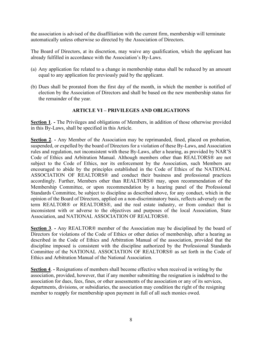the association is advised of the disaffiliation with the current firm, membership will terminate automatically unless otherwise so directed by the Association of Directors.

The Board of Directors, at its discretion, may waive any qualification, which the applicant has already fulfilled in accordance with the Association's By-Laws.

- (a) Any application fee related to a change in membership status shall be reduced by an amount equal to any application fee previously paid by the applicant.
- (b) Dues shall be prorated from the first day of the month, in which the member is notified of election by the Association of Directors and shall be based on the new membership status for the remainder of the year.

## **ARTICLE VI – PRIVILEGES AND OBLIGATIONS**

**Section 1**. **-** The Privileges and obligations of Members, in addition of those otherwise provided in this By-Laws, shall be specified in this Article.

**Section 2. -** Any Member of the Association may be reprimanded, fined, placed on probation, suspended, or expelled by the board of Directors for a violation of these By-Laws, and Association rules and regulation, not inconsistent with these By-Laws, after a hearing, as provided by NAR'S Code of Ethics and Arbitration Manual. Although members other than REALTORS® are not subject to the Code of Ethics, nor its enforcement by the Association, such Members are encouraged to abide by the principles established in the Code of Ethics of the NATIONAL ASSOCIATION OF REALTORS® and conduct their business and professional practices accordingly. Further, Members other than REALTORS® may, upon recommendation of the Membership Committee, or upon recommendation by a hearing panel of the Professional Standards Committee, be subject to discipline as described above, for any conduct, which in the opinion of the Board of Directors, applied on a non-discriminatory basis, reflects adversely on the term REALTOR® or REALTORS®, and the real estate industry, or from conduct that is inconsistent with or adverse to the objectives and purposes of the local Association, State Association, and NATIONAL ASSOCIATION OF REALTORS®.

**Section 3**. **-** Any REALTOR® member of the Association may be disciplined by the board of Directors for violations of the Code of Ethics or other duties of membership, after a hearing as described in the Code of Ethics and Arbitration Manual of the association, provided that the discipline imposed is consistent with the discipline authorized by the Professional Standards Committee of the NATIONAL ASSOCIATION OF REALTORS® as set forth in the Code of Ethics and Arbitration Manual of the National Association.

**Section 4. -** Resignations of members shall become effective when received in writing by the association, provided, however, that if any member submitting the resignation is indebted to the association for dues, fees, fines, or other assessments of the association or any of its services, departments, divisions, or subsidiaries, the association may condition the right of the resigning member to reapply for membership upon payment in full of all such monies owed.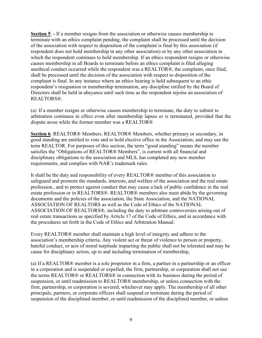**Section 5**. **-** If a member resigns from the association or otherwise causes membership to terminate with an ethics complaint pending, the complaint shall be processed until the decision of the association with respect to disposition of the complaint is final by this association (if respondent does not hold membership in any other association) or by any other association in which the respondent continues to hold membership. If an ethics respondent resigns or otherwise causes membership in all Boards to terminate before an ethics complaint is filed alleging unethical conduct occurred while the respondent was a REALTOR®, the complaint, once filed, shall be processed until the decision of the association with respect to disposition of the complaint is final. In any instance where an ethics hearing is held subsequent to an ethic respondent's resignation or membership termination, any discipline ratified by the Board of Directors shall be held in abeyance until such time as the respondent rejoins an association of REALTORS®.

(a) If a member resigns or otherwise causes membership to terminate, the duty to submit to arbitration continues in effect even after membership lapses or is terminated, provided that the dispute arose while the former member was a REALTOR®

**Section 6**. REALTOR® Members. REALTOR® Members, whether primary or secondary, in good standing are entitled to vote and to hold elective office in the Association; and may use the term REALTOR. For purposes of this section, the term "good standing" means the member satisfies the "Obligations of REALTOR® Members", is current with all financial and disciplinary obligations to the association and MLS, has completed any new member requirements, and complies with NAR's trademark rules.

It shall be the duty and responsibility of every REALTOR® member of this association to safeguard and promote the standards, interests, and welfare of the association and the real estate profession., and to protect against conduct that may cause a lack of public confidence in the real estate profession or in REALTORS®. REALTOR® members also must abide by the governing documents and the policies of the association, the State Association, and the NATIONAL ASSOCIATION OF REALTORS as well as the Code of Ethics of the NATIONAL ASSOCIATION OF REALTORS®, including the duty to arbitrate controversies arising out of real estate transactions as specified by Article 17 of the Code of Ethics, and in accordance with the procedures set forth in the Code of Ethics and Arbitration Manual.

Every REALTOR® member shall maintain a high level of integrity and adhere to the association's membership criteria. Any violent act or threat of violence to person or property, hateful conduct, or acts of moral turpitude impacting the public shall not be tolerated and may be cause for disciplinary action, up to and including termination of membership.

(a) If a REALTOR® member is a sole proprietor in a firm, a partner in a partnership or an officer in a corporation and is suspended or expelled, the firm, partnership, or corporation shall not use the terms REALTOR® or REALTORS® in connection with its business during the period of suspension, or until readmission to REALTOR® membership, or unless connection with the firm, partnership, or corporation is severed, whichever may apply. The membership of all other principals, partners, or corporate officers shall suspend or terminate during the period of suspension of the disciplined member, or until readmission of the disciplined member, or unless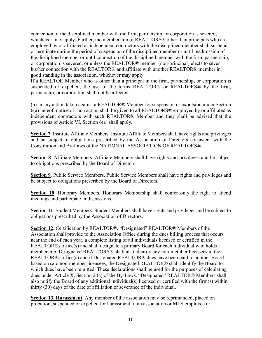connection of the disciplined member with the firm, partnership, or corporation is severed, whichever may apply. Further, the membership of REALTORS® other than principals who are employed by or affiliated as independent contractors with the disciplined member shall suspend or terminate during the period of suspension of the disciplined member or until readmission of the disciplined member or until connection of the disciplined member with the firm, partnership, or corporation is severed, or unless the REALTOR® member (non-principal) elects to sever his/her connection with the REALTOR® and affiliate with another REALTOR® member in good standing in the association, whichever may apply.

If a REALTOR Member who is other than a principal in the firm, partnership, or corporation is suspended or expelled, the use of the terms REALTOR® or REALTORS® by the firm, partnership, or corporation shall not be affected.

(b) In any action taken against a REALTOR® Member for suspension or expulsion under Section 6(a) hereof, notice of such action shall be given to all REALTORS® employed by or affiliated as independent contractors with such REALTOR® Member and they shall be advised that the provisions of Article VI, Section 6(a) shall apply.

**Section 7**. Institute Affiliate Members. Institute Affiliate Members shall have rights and privileges and be subject to obligations prescribed by the Association of Directors consistent with the Constitution and By-Laws of the NATIONAL ASSOCIATION OF REALTORS®.

**Section 8**. Affiliate Members. Affiliate Members shall have rights and privileges and be subject to obligations prescribed by the Board of Directors.

**Section 9**. Public Service Members. Public Service Members shall have rights and privileges and be subject to obligations prescribed by the Board of Directors.

**Section 10**. Honorary Members. Honorary Membership shall confer only the right to attend meetings and participate in discussions.

**Section 11**. Student Members. Student Members shall have rights and privileges and be subject to obligations prescribed by the Association of Directors.

**Section 12**. Certification by REALTOR®. "Designated" REALTOR® Members of the Association shall provide to the Association Office during the dues billing process that occurs near the end of each year, a complete listing of all individuals licensed or certified in the REALTOR®s office(s) and shall designate a primary Board for each individual who holds membership. Designated REALTORS® shall also identify any non-member licensees in the REALTOR®s office(s) and if Designated REALTOR® dues have been paid to another Board based on said non-member licensees, the Designated REALTOR® shall identify the Board to which dues have been remitted. These declarations shall be used for the purposes of calculating dues under Article X, Section 2 (a) of the By-Laws. "Designated" REALTOR® Members shall also notify the Board of any additional individual(s) licensed or certified with the firm(s) within thirty (30) days of the date of affiliation or severance of the individual.

**Section 13**. **Harassment**. Any member of the association may be reprimanded, placed on probation, suspended or expelled for harassment of an association or MLS employee or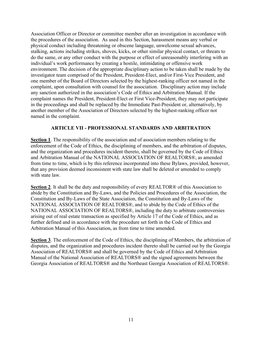Association Officer or Director or committee member after an investigation in accordance with the procedures of the association. As used in this Section, harassment means any verbal or physical conduct including threatening or obscene language, unwelcome sexual advances, stalking, actions including strikes, shoves, kicks, or other similar physical contact, or threats to do the same, or any other conduct with the purpose or effect of unreasonably interfering with an individual's work performance by creating a hostile, intimidating or offensive work environment. The decision of the appropriate disciplinary action to be taken shall be made by the investigator team comprised of the President, President-Elect, and/or First-Vice President, and one member of the Board of Directors selected by the highest-ranking officer not named in the complaint, upon consultation with counsel for the association. Disciplinary action may include any sanction authorized in the association's Code of Ethics and Arbitration Manual. If the complaint names the President, President-Elect or First Vice-President, they may not participate in the proceedings and shall be replaced by the Immediate Past-President or, alternatively, by another member of the Association of Directors selected by the highest-ranking officer not named in the complaint.

#### **ARTICLE VII - PROFESSIONAL STANDARDS AND ARBITRATION**

**Section 1**. The responsibility of the association and of association members relating to the enforcement of the Code of Ethics, the disciplining of members, and the arbitration of disputes, and the organization and procedures incident thereto, shall be governed by the Code of Ethics and Arbitration Manual of the NATIONAL ASSOCIATION OF REALTORS®, as amended from time to time, which is by this reference incorporated into these Bylaws, provided, however, that any provision deemed inconsistent with state law shall be deleted or amended to comply with state law.

**Section 2**. It shall be the duty and responsibility of every REALTOR® of this Association to abide by the Constitution and By-Laws, and the Policies and Procedures of the Association, the Constitution and By-Laws of the State Association, the Constitution and By-Laws of the NATIONAL ASSOCIATION OF REALTORS®, and to abide by the Code of Ethics of the NATIONAL ASSOCIATION OF REALTORS®, including the duty to arbitrate controversies arising out of real estate transaction as specified by Article 17 of the Code of Ethics, and as further defined and in accordance with the procedure set forth in the Code of Ethics and Arbitration Manual of this Association, as from time to time amended.

**Section 3**. The enforcement of the Code of Ethics, the disciplining of Members, the arbitration of disputes, and the organization and procedures incident thereto shall be carried out by the Georgia Association of REALTORS® and shall be governed by the Code of Ethics and Arbitration Manual of the National Association of REALTORS® and the signed agreements between the Georgia Association of REALTORS® and the Northeast Georgia Association of REALTORS®.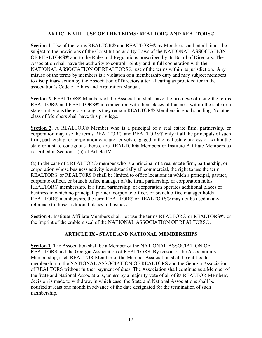#### **ARTICLE VIII - USE OF THE TERMS: REALTOR® AND REALTORS®**

**Section 1**. Use of the terms REALTOR® and REALTORS® by Members shall, at all times, be subject to the provisions of the Constitution and By-Laws of the NATIONAL ASSOCIATION OF REALTORS® and to the Rules and Regulations prescribed by its Board of Directors. The Association shall have the authority to control, jointly and in full cooperation with the NATIONAL ASSOCIATION OF REALTORS®, use of the terms within its jurisdiction. Any misuse of the terms by members is a violation of a membership duty and may subject members to disciplinary action by the Association of Directors after a hearing as provided for in the association's Code of Ethics and Arbitration Manual.

**Section 2**. REALTOR® Members of the Association shall have the privilege of using the terms REALTOR® and REALTORS® in connection with their places of business within the state or a state contiguous thereto so long as they remain REALTOR® Members in good standing. No other class of Members shall have this privilege.

**Section 3**. A REALTOR® Member who is a principal of a real estate firm, partnership, or corporation may use the terms REALTOR® and REALTORS® only if all the principals of such firm, partnership, or corporation who are actively engaged in the real estate profession within the state or a state contiguous thereto are REALTOR® Members or Institute Affiliate Members as described in Section 1 (b) of Article IV.

(a) In the case of a REALTOR® member who is a principal of a real estate firm, partnership, or corporation whose business activity is substantially all commercial, the right to use the term REALTOR® or REALTORS® shall be limited to office locations in which a principal, partner, corporate officer, or branch office manager of the firm, partnership, or corporation holds REALTOR® membership. If a firm, partnership, or corporation operates additional places of business in which no principal, partner, corporate officer, or branch office manager holds REALTOR® membership, the term REALTOR® or REALTORS® may not be used in any reference to those additional places of business.

**Section 4**. Institute Affiliate Members shall not use the terms REALTOR® or REALTORS®, or the imprint of the emblem seal of the NATIONAL ASSOCIATION OF REALTORS®.

## **ARTICLE IX - STATE AND NATIONAL MEMBERSHIPS**

**Section 1**. The Association shall be a Member of the NATIONAL ASSOCIATION OF REALTORS and the Georgia Association of REALTORS. By reason of the Association's Membership, each REALTOR Member of the Member Association shall be entitled to membership in the NATIONAL ASSOCIATION OF REALTORS and the Georgia Association of REALTORS without further payment of dues. The Association shall continue as a Member of the State and National Associations, unless by a majority vote of all of its REALTOR Members, decision is made to withdraw, in which case, the State and National Associations shall be notified at least one month in advance of the date designated for the termination of such membership.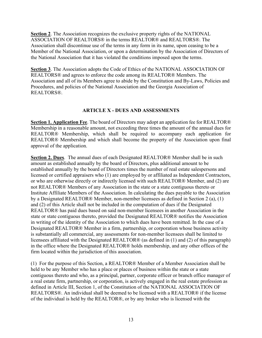**Section 2**. The Association recognizes the exclusive property rights of the NATIONAL ASSOCIATION OF REALTORS® in the terms REALTOR® and REALTORS®. The Association shall discontinue use of the terms in any form in its name, upon ceasing to be a Member of the National Association, or upon a determination by the Association of Directors of the National Association that it has violated the conditions imposed upon the terms.

**Section 3**. The Association adopts the Code of Ethics of the NATIONAL ASSOCIATION OF REALTORS® and agrees to enforce the code among its REALTOR® Members. The Association and all of its Members agree to abide by the Constitution and By-Laws, Policies and Procedures, and policies of the National Association and the Georgia Association of REALTORS®.

## **ARTICLE X - DUES AND ASSESSMENTS**

**Section 1. Application Fee**. The board of Directors may adopt an application fee for REALTOR® Membership in a reasonable amount, not exceeding three times the amount of the annual dues for REALTOR® Membership, which shall be required to accompany each application for REALTOR® Membership and which shall become the property of the Association upon final approval of the application.

**Section 2. Dues**. The annual dues of each Designated REALTOR® Member shall be in such amount as established annually by the board of Directors, plus additional amount to be established annually by the board of Directors times the number of real estate salespersons and licensed or certified appraisers who (1) are employed by or affiliated as Independent Contractors, or who are otherwise directly or indirectly licensed with such REALTOR® Member, and (2) are not REALTOR® Members of any Association in the state or a state contiguous thereto or Institute Affiliate Members of the Association. In calculating the dues payable to the Association by a Designated REALTOR® Member, non-member licensees as defined in Section 2 (a), (1) and (2) of this Article shall not be included in the computation of dues if the Designated REALTOR® has paid dues based on said non-member licensees in another Association in the state or state contiguous thereto, provided the Designated REALTOR® notifies the Association in writing of the identity of the Association to which dues have been remitted. In the case of a Designated REALTOR® Member in a firm, partnership, or corporation whose business activity is substantially all commercial, any assessments for non-member licensees shall be limited to licensees affiliated with the Designated REALTOR® (as defined in (1) and (2) of this paragraph) in the office where the Designated REALTOR® holds membership, and any other offices of the firm located within the jurisdiction of this association.

(1) For the purpose of this Section, a REALTOR® Member of a Member Association shall be held to be any Member who has a place or places of business within the state or a state contiguous thereto and who, as a principal, partner, corporate officer or branch office manager of a real estate firm, partnership, or corporation, is actively engaged in the real estate profession as defined in Article III, Section 1, of the Constitution of the NATIONAL ASSOCIATION OF REALTORS®. An individual shall be deemed to be licensed with a REALTOR® if the license of the individual is held by the REALTOR®, or by any broker who is licensed with the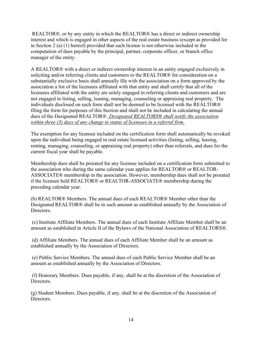REALTOR®, or by any entity in which the REALTOR® has a direct or indirect ownership interest and which is engaged in other aspects of the real estate business (except as provided for in Section 2 (a) (1) hereof) provided that such license is not otherwise included in the computation of dues payable by the principal, partner, corporate officer, or branch office manager of the entity.

A REALTOR® with a direct or indirect ownership interest in an entity engaged exclusively in soliciting and/or referring clients and customers to the REALTOR® for consideration on a substantially exclusive basis shall annually file with the association on a form approved by the association a list of the licensees affiliated with that entity and shall certify that all of the licensees affiliated with the entity are solely engaged in referring clients and customers and are not engaged in listing, selling, leasing, managing, counseling or appraising real property. The individuals disclosed on such form shall not be deemed to be licensed with the REALTOR® filing the form for purposes of this Section and shall not be included in calculating the annual dues of the Designated REALTOR®. *Designated REALTORS® shall notify the association within three (3) days of any change in status of licensees in a referral firm.*

The exemption for any licensee included on the certification form shall automatically be revoked upon the individual being engaged in real estate licensed activities (listing, selling, leasing, renting, managing, counseling, or appraising real property) other than referrals, and dues for the current fiscal year shall be payable.

Membership dues shall be prorated for any licensee included on a certification form submitted to the association who during the same calendar year applies for REALTOR® or REALTOR-ASSOCIATE® membership in the association. However, membership dues shall not be prorated if the licensee held REALTOR® or REALTOR-ASSOCIATE® membership during the preceding calendar year.

(b) REALTOR® Members. The annual dues of each REALTOR® Member other than the Designated REALTOR® shall be in such amount as established annually by the Association of Directors.

(c) Institute Affiliate Members. The annual dues of each Institute Affiliate Member shall be an amount as established in Article II of the Bylaws of the National Association of REALTORS®.

(d) Affiliate Members. The annual dues of each Affiliate Member shall be an amount as established annually by the Association of Directors.

(e) Public Service Members. The annual dues of each Public Service Member shall be an amount as established annually by the Association of Directors.

(f) Honorary Members. Dues payable, if any, shall be at the discretion of the Association of Directors.

(g) Student Members. Dues payable, if any, shall be at the discretion of the Association of Directors.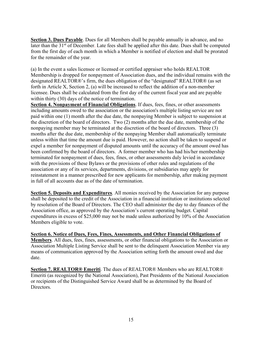**Section 3. Dues Payable**. Dues for all Members shall be payable annually in advance, and no later than the  $31<sup>st</sup>$  of December. Late fees shall be applied after this date. Dues shall be computed from the first day of each month in which a Member is notified of election and shall be prorated for the remainder of the year.

(a) In the event a sales licensee or licensed or certified appraiser who holds REALTOR Membership is dropped for nonpayment of Association dues, and the individual remains with the designated REALTOR®'s firm, the dues obligation of the "designated" REALTOR® (as set forth in Article X, Section 2, (a) will be increased to reflect the addition of a non-member licensee. Dues shall be calculated from the first day of the current fiscal year and are payable within thirty (30) days of the notice of termination.

**Section 4. Nonpayment of Financial Obligations**. If dues, fees, fines, or other assessments including amounts owed to the association or the association's multiple listing service are not paid within one (1) month after the due date, the nonpaying Member is subject to suspension at the discretion of the board of directors. Two (2) months after the due date, membership of the nonpaying member may be terminated at the discretion of the board of directors. Three (3) months after the due date, membership of the nonpaying Member shall automatically terminate unless within that time the amount due is paid. However, no action shall be taken to suspend or expel a member for nonpayment of disputed amounts until the accuracy of the amount owed has been confirmed by the board of directors. A former member who has had his/her membership terminated for nonpayment of dues, fees, fines, or other assessments duly levied in accordance with the provisions of these Bylaws or the provisions of other rules and regulations of the association or any of its services, departments, divisions, or subsidiaries may apply for reinstatement in a manner prescribed for new applicants for membership, after making payment in full of all accounts due as of the date of termination.

**Section 5. Deposits and Expenditures**. All monies received by the Association for any purpose shall be deposited to the credit of the Association in a financial institution or institutions selected by resolution of the Board of Directors. The CEO shall administer the day to day finances of the Association office, as approved by the Association's current operating budget. Capital expenditures in excess of \$25,000 may not be made unless authorized by 10% of the Association Members eligible to vote.

**Section 6. Notice of Dues, Fees, Fines, Assessments, and Other Financial Obligations of Members**. All dues, fees, fines, assessments, or other financial obligations to the Association or Association Multiple Listing Service shall be sent to the delinquent Association Member via any means of communication approved by the Association setting forth the amount owed and due date.

**Section 7. REALTOR® Emeriti**. The dues of REALTOR® Members who are REALTOR® Emeriti (as recognized by the National Association), Past Presidents of the National Association or recipients of the Distinguished Service Award shall be as determined by the Board of Directors.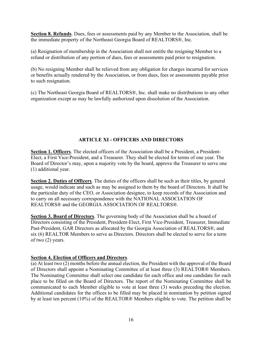**Section 8. Refunds**. Dues, fees or assessments paid by any Member to the Association, shall be the immediate property of the Northeast Georgia Board of REALTORS®, Inc.

(a) Resignation of membership in the Association shall not entitle the resigning Member to a refund or distribution of any portion of dues, fees or assessments paid prior to resignation.

(b) No resigning Member shall be relieved from any obligation for charges incurred for services or benefits actually rendered by the Association, or from dues, fees or assessments payable prior to such resignation.

(c) The Northeast Georgia Board of REALTORS®, Inc. shall make no distributions to any other organization except as may be lawfully authorized upon dissolution of the Association.

# **ARTICLE XI - OFFICERS AND DIRECTORS**

**Section 1. Officers**. The elected officers of the Association shall be a President, a President-Elect, a First Vice-President, and a Treasurer. They shall be elected for terms of one year. The Board of Director's may, upon a majority vote by the board, approve the Treasurer to serve one (1) additional year.

**Section 2. Duties of Officers**. The duties of the officers shall be such as their titles, by general usage, would indicate and such as may be assigned to them by the board of Directors. It shall be the particular duty of the CEO, or Association designee, to keep records of the Association and to carry on all necessary correspondence with the NATIONAL ASSOCIATION OF REALTORS® and the GEORGIA ASSOCIATION OF REALTORS®.

**Section 3. Board of Directors**. The governing body of the Association shall be a board of Directors consisting of the President, President-Elect, First Vice-President, Treasurer, Immediate Past-President, GAR Directors as allocated by the Georgia Association of REALTORS®, and six (6) REALTOR Members to serve as Directors. Directors shall be elected to serve for a term of two (2) years.

## **Section 4. Election of Officers and Directors**.

(a) At least two (2) months before the annual election, the President with the approval of the Board of Directors shall appoint a Nominating Committee of at least three (3) REALTOR® Members. The Nominating Committee shall select one candidate for each office and one candidate for each place to be filled on the Board of Directors. The report of the Nominating Committee shall be communicated to each Member eligible to vote at least three (3) weeks preceding the election. Additional candidates for the offices to be filled may be placed in nomination by petition signed by at least ten percent (10%) of the REALTOR® Members eligible to vote. The petition shall be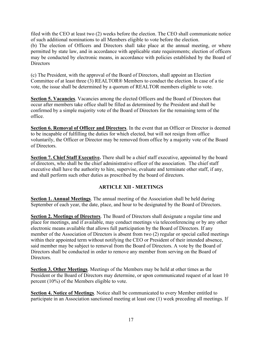filed with the CEO at least two (2) weeks before the election. The CEO shall communicate notice of such additional nominations to all Members eligible to vote before the election.

(b) The election of Officers and Directors shall take place at the annual meeting, or where permitted by state law, and in accordance with applicable state requirements; election of officers may be conducted by electronic means, in accordance with policies established by the Board of **Directors** 

(c) The President, with the approval of the Board of Directors, shall appoint an Election Committee of at least three (3) REALTOR® Members to conduct the election. In case of a tie vote, the issue shall be determined by a quorum of REALTOR members eligible to vote.

**Section 5. Vacancies**. Vacancies among the elected Officers and the Board of Directors that occur after members take office shall be filled as determined by the President and shall be confirmed by a simple majority vote of the Board of Directors for the remaining term of the office.

**Section 6. Removal of Officer and Directors**. In the event that an Officer or Director is deemed to be incapable of fulfilling the duties for which elected, but will not resign from office voluntarily, the Officer or Director may be removed from office by a majority vote of the Board of Directors.

**Section 7. Chief Staff Executive.** There shall be a chief staff executive, appointed by the board of directors, who shall be the chief administrative officer of the association. The chief staff executive shall have the authority to hire, supervise, evaluate and terminate other staff, if any, and shall perform such other duties as prescribed by the board of directors.

# **ARTICLE XII - MEETINGS**

**Section 1. Annual Meetings**. The annual meeting of the Association shall be held during September of each year, the date, place, and hour to be designated by the Board of Directors.

**Section 2. Meetings of Directors**. The Board of Directors shall designate a regular time and place for meetings, and if available, may conduct meetings via teleconferencing or by any other electronic means available that allows full participation by the Board of Directors. If any member of the Association of Directors is absent from two (2) regular or special called meetings within their appointed term without notifying the CEO or President of their intended absence, said member may be subject to removal from the Board of Directors. A vote by the Board of Directors shall be conducted in order to remove any member from serving on the Board of Directors.

**Section 3. Other Meetings**. Meetings of the Members may be held at other times as the President or the Board of Directors may determine, or upon communicated request of at least 10 percent (10%) of the Members eligible to vote.

**Section 4. Notice of Meetings**. Notice shall be communicated to every Member entitled to participate in an Association sanctioned meeting at least one (1) week preceding all meetings. If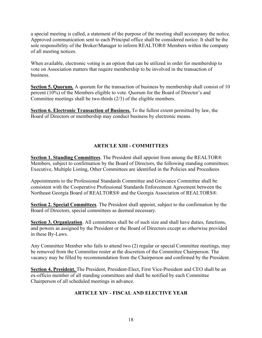a special meeting is called, a statement of the purpose of the meeting shall accompany the notice. Approved communication sent to each Principal office shall be considered notice. It shall be the sole responsibility of the Broker/Manager to inform REALTOR® Members within the company of all meeting notices.

When available, electronic voting is an option that can be utilized in order for membership to vote on Association matters that require membership to be involved in the transaction of business.

**Section 5. Quorum.** A quorum for the transaction of business by membership shall consist of 10 percent (10%) of the Members eligible to vote. Quorum for the Board of Director's and Committee meetings shall be two-thirds (2/3) of the eligible members.

**Section 6. Electronic Transaction of Business.** To the fullest extent permitted by law, the Board of Directors or membership may conduct business by electronic means.

# **ARTICLE XIII - COMMITTEES**

**Section 1. Standing Committees**. The President shall appoint from among the REALTOR® Members, subject to confirmation by the Board of Directors, the following standing committees: Executive, Multiple Listing, Other Committees are identified in the Policies and Procedures

Appointments to the Professional Standards Committee and Grievance Committee shall be consistent with the Cooperative Professional Standards Enforcement Agreement between the Northeast Georgia Board of REALTORS® and the Georgia Association of REALTORS®.

**Section 2. Special Committees**. The President shall appoint, subject to the confirmation by the Board of Directors, special committees as deemed necessary.

**Section 3. Organization**. All committees shall be of such size and shall have duties, functions, and powers as assigned by the President or the Board of Directors except as otherwise provided in these By-Laws.

Any Committee Member who fails to attend two (2) regular or special Committee meetings, may be removed from the Committee roster at the discretion of the Committee Chairperson. The vacancy may be filled by recommendation from the Chairperson and confirmed by the President.

**Section 4. President.** The President, President-Elect, First Vice-President and CEO shall be an ex-officio member of all standing committees and shall be notified by each Committee Chairperson of all scheduled meetings in advance.

# **ARTICLE XIV - FISCAL AND ELECTIVE YEAR**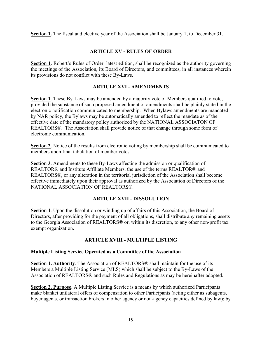**Section 1.** The fiscal and elective year of the Association shall be January 1, to December 31.

## **ARTICLE XV - RULES OF ORDER**

**Section 1**. Robert's Rules of Order, latest edition, shall be recognized as the authority governing the meetings of the Association, its Board of Directors, and committees, in all instances wherein its provisions do not conflict with these By-Laws.

#### **ARTICLE XVI - AMENDMENTS**

**Section 1**. These By-Laws may be amended by a majority vote of Members qualified to vote, provided the substance of such proposed amendment or amendments shall be plainly stated in the electronic notification communicated to membership. When Bylaws amendments are mandated by NAR policy, the Bylaws may be automatically amended to reflect the mandate as of the effective date of the mandatory policy authorized by the NATIONAL ASSOCIATON OF REALTORS®. The Association shall provide notice of that change through some form of electronic communication.

**Section 2**. Notice of the results from electronic voting by membership shall be communicated to members upon final tabulation of member votes.

**Section 3**. Amendments to these By-Laws affecting the admission or qualification of REALTOR® and Institute Affiliate Members, the use of the terms REALTOR® and REALTORS®, or any alteration in the territorial jurisdiction of the Association shall become effective immediately upon their approval as authorized by the Association of Directors of the NATIONAL ASSOCIATION OF REALTORS®.

## **ARTICLE XVII - DISSOLUTION**

**Section 1**. Upon the dissolution or winding up of affairs of this Association, the Board of Directors, after providing for the payment of all obligations, shall distribute any remaining assets to the Georgia Association of REALTORS® or, within its discretion, to any other non-profit tax exempt organization.

## **ARTICLE XVIII - MULTIPLE LISTING**

## **Multiple Listing Service Operated as a Committee of the Association**

**Section 1. Authority**. The Association of REALTORS® shall maintain for the use of its Members a Multiple Listing Service (MLS) which shall be subject to the By-Laws of the Association of REALTORS® and such Rules and Regulations as may be hereinafter adopted.

**Section 2. Purpose**. A Multiple Listing Service is a means by which authorized Participants make blanket unilateral offers of compensation to other Participants (acting either as subagents, buyer agents, or transaction brokers in other agency or non-agency capacities defined by law); by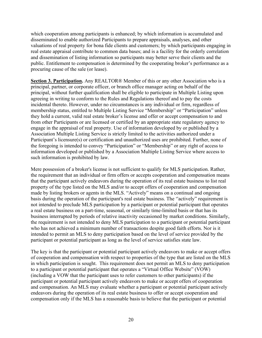which cooperation among participants is enhanced; by which information is accumulated and disseminated to enable authorized Participants to prepare appraisals, analyses, and other valuations of real property for bona fide clients and customers; by which participants engaging in real estate appraisal contribute to common data bases; and is a facility for the orderly correlation and dissemination of listing information so participants may better serve their clients and the public. Entitlement to compensation is determined by the cooperating broker's performance as a procuring cause of the sale (or lease).

**Section 3. Participation.** Any REALTOR® Member of this or any other Association who is a principal, partner, or corporate officer, or branch office manager acting on behalf of the principal, without further qualification shall be eligible to participate in Multiple Listing upon agreeing in writing to conform to the Rules and Regulations thereof and to pay the costs incidental thereto. However, under no circumstances is any individual or firm, regardless of membership status, entitled to Multiple Listing Service "Membership" or "Participation" unless they hold a current, valid real estate broker's license and offer or accept compensation to and from other Participants or are licensed or certified by an appropriate state regulatory agency to engage in the appraisal of real property. Use of information developed by or published by a Association Multiple Listing Service is strictly limited to the activities authorized under a Participant's licensure(s) or certification and unauthorized uses are prohibited. Further, none of the foregoing is intended to convey "Participation" or "Membership" or any right of access to information developed or published by a Association Multiple Listing Service where access to such information is prohibited by law.

Mere possession of a broker's license is not sufficient to qualify for MLS participation. Rather, the requirement that an individual or firm offers or accepts cooperation and compensation means that the participant actively endeavors during the operation of its real estate business to list real property of the type listed on the MLS and/or to accept offers of cooperation and compensation made by listing brokers or agents in the MLS. "Actively" means on a continual and ongoing basis during the operation of the participant's real estate business. The ''actively" requirement is not intended to preclude MLS participation by a participant or potential participant that operates a real estate business on a part-time, seasonal, or similarly time-limited basis or that has its business interrupted by periods of relative inactivity occasioned by market conditions. Similarly, the requirement is not intended to deny MLS participation to a participant or potential participant who has not achieved a minimum number of transactions despite good faith efforts. Nor is it intended to permit an MLS to deny participation based on the level of service provided by the participant or potential participant as long as the level of service satisfies state law.

The key is that the participant or potential participant actively endeavors to make or accept offers of cooperation and compensation with respect to properties of the type that are listed on the MLS in which participation is sought. This requirement does not permit an MLS to deny participation to a participant or potential participant that operates a "Virtual Office Website" (VOW) (including a VOW that the participant uses to refer customers to other participants) if the participant or potential participant actively endeavors to make or accept offers of cooperation and compensation. An MLS may evaluate whether a participant or potential participant actively endeavors during the operation of its real estate business to offer or accept cooperation and compensation only if the MLS has a reasonable basis to believe that the participant or potential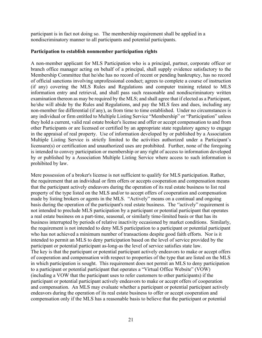participant is in fact not doing so. The membership requirement shall be applied in a nondiscriminatory manner to all participants and potential participants.

#### **Participation to establish nonmember participation rights**

A non-member applicant for MLS Participation who is a principal, partner, corporate officer or branch office manager acting on behalf of a principal, shall supply evidence satisfactory to the Membership Committee that he/she has no record of recent or pending bankruptcy, has no record of official sanctions involving unprofessional conduct; agrees to complete a course of instruction (if any) covering the MLS Rules and Regulations and computer training related to MLS information entry and retrieval, and shall pass such reasonable and nondiscriminatory written examination thereon as may be required by the MLS; and shall agree that if elected as a Participant, he/she will abide by the Rules and Regulations, and pay the MLS fees and dues, including any non-member fee differential (if any), as from time to time established. Under no circumstances is any individual or firm entitled to Multiple Listing Service "Membership" or "Participation" unless they hold a current, valid real estate broker's license and offer or accept compensation to and from other Participants or are licensed or certified by an appropriate state regulatory agency to engage in the appraisal of real property. Use of information developed by or published by a Association Multiple Listing Service is strictly limited to the activities authorized under a Participant's licensure(s) or certification and unauthorized uses are prohibited. Further, none of the foregoing is intended to convey participation or membership or any right of access to information developed by or published by a Association Multiple Listing Service where access to such information is prohibited by law.

Mere possession of a broker's license is not sufficient to qualify for MLS participation. Rather, the requirement that an individual or firm offers or accepts cooperation and compensation means that the participant actively endeavors during the operation of its real estate business to list real property of the type listed on the MLS and/or to accept offers of cooperation and compensation made by listing brokers or agents in the MLS. "Actively" means on a continual and ongoing basis during the operation of the participant's real estate business. The ''actively" requirement is not intended to preclude MLS participation by a participant or potential participant that operates a real estate business on a part-time, seasonal, or similarly time-limited basis or that has its business interrupted by periods of relative inactivity occasioned by market conditions. Similarly, the requirement is not intended to deny MLS participation to a participant or potential participant who has not achieved a minimum number of transactions despite good faith efforts. Nor is it intended to permit an MLS to deny participation based on the level of service provided by the participant or potential participant as-long-as the level of service satisfies state law. The key is that the participant or potential participant actively endeavors to make or accept offers of cooperation and compensation with respect to properties of the type that are listed on the MLS in which participation is sought. This requirement does not permit an MLS to deny participation to a participant or potential participant that operates a "Virtual Office Website" (VOW) (including a VOW that the participant uses to refer customers to other participants) if the participant or potential participant actively endeavors to make or accept offers of cooperation and compensation. An MLS may evaluate whether a participant or potential participant actively endeavors during the operation of its real estate business to offer or accept cooperation and compensation only if the MLS has a reasonable basis to believe that the participant or potential